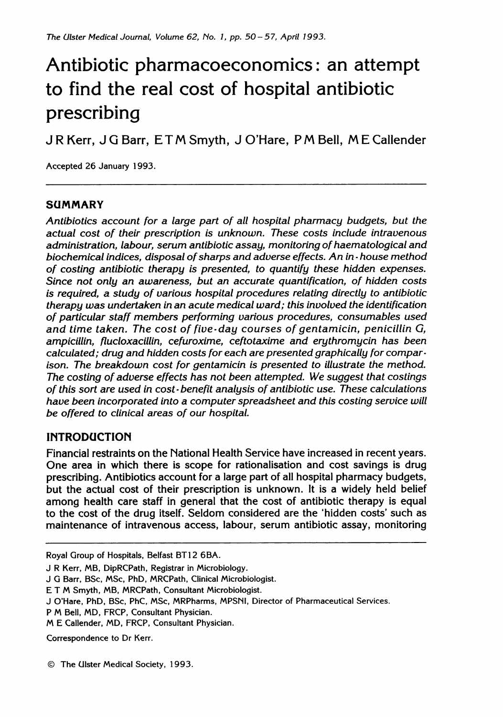# Antibiotic pharmacoeconomics: an attempt to find the real cost of hospital antibiotic prescribing

<sup>J</sup> R Kerr, <sup>J</sup> G Barr, E T M Smyth, <sup>J</sup> <sup>O</sup>'Hare, <sup>P</sup> M Bell, M E Callender

Accepted 26 January 1993.

### SUMMARY

Antibiotics account for a large part of all hospital pharmacy budgets, but the actual cost of their prescription is unknown. These costs include intravenous administration, labour, serum antibiotic assay, monitoring of haematological and biochemical indices, disposal of sharps and adverse effects. An in - house method of costing antibiotic therapy is presented, to quantify these hidden expenses. Since not only an awareness, but an accurate quantification, of hidden costs is required, a study of various hospital procedures relating directly to antibiotic therapy was undertaken in an acute medical ward; this involved the identification of particular staff members performing various procedures, consumables used and time taken. The cost of five-day courses of gentamicin, penicillin G, ampicillin, flucloxacillin, cefuroxime, ceftotaxime and erythromycin has been calculated; drug and hidden costs for each are presented graphically for comparison. The breakdown cost for gentamicin is presented to illustrate the method. The costing of adverse effects has not been attempted. We suggest that costings of this sort are used in cost-benefit analysis of antibiotic use. These calculations have been incorporated into a computer spreadsheet and this costing service will be offered to clinical areas of our hospital.

## INTRODUCTION

Financial restraints on the National Health Service have increased in recent years. One area in which there is scope for rationalisation and cost savings is drug prescribing. Antibiotics account for a large part of all hospital pharmacy budgets, but the actual cost of their prescription is unknown. It is a widely held belief among health care staff in general that the cost of antibiotic therapy is equal to the cost of the drug itself. Seldom considered are the 'hidden costs' such as maintenance of intravenous access, labour, serum antibiotic assay, monitoring

Royal Group of Hospitals, Belfast BT12 6BA.

- J R Kerr, MB, DipRCPath, Registrar in Microbiology.
- J G Barr, BSc, MSc, PhD, MRCPath, Clinical Microbiologist.
- E T M Smyth, MB, MRCPath, Consultant Microbiologist.
- J O'Hare, PhD, BSc, PhC, MSc, MRPharms, MPSNI, Director of Pharmaceutical Services.
- <sup>P</sup> M Bell, MD, FRCP, Consultant Physician.
- M E Callender, MD, FRCP, Consultant Physician.

Correspondence to Dr Kerr.

© The Ulster Medical Society, 1993.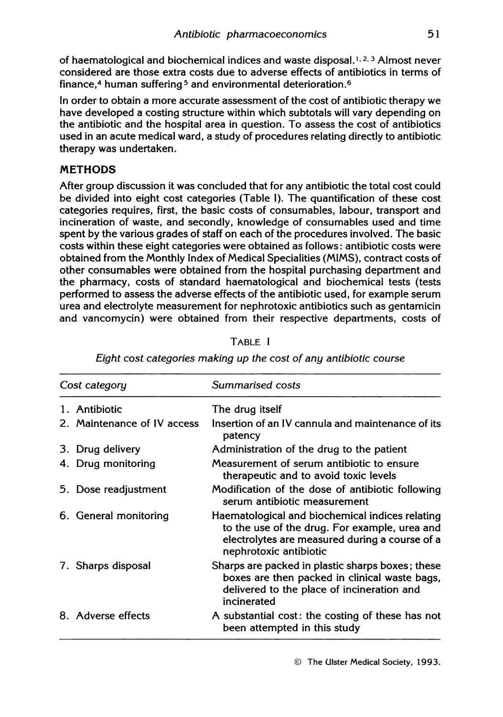of haematological and biochemical indices and waste disposal.<sup>1, 2, 3</sup> Almost never considered are those extra costs due to adverse effects of antibiotics in terms of finance.<sup>4</sup> human suffering<sup>5</sup> and environmental deterioration.<sup>6</sup>

In order to obtain a more accurate assessment of the cost of antibiotic therapy we have developed a costing structure within which subtotals will vary depending on the antibiotic and the hospital area in question. To assess the cost of antibiotics used in an acute medical ward, a study of procedures relating directly to antibiotic therapy was undertaken.

### **METHODS**

After group discussion it was concluded that for any antibiotic the total cost could be divided into eight cost categories (Table 1). The quantification of these cost categories requires, first, the basic costs of consumables, labour, transport and incineration of waste, and secondly, knowledge of consumables used and time spent by the various grades of staff on each of the procedures involved. The basic costs within these eight categories were obtained as follows: antibiotic costs were obtained from the Monthly Index of Medical Specialities (MIMS), contract costs of other consumables were obtained from the hospital purchasing department and the pharmacy, costs of standard haematological and biochemical tests (tests performed to assess the adverse effects of the antibiotic used, for example serum urea and electrolyte measurement for nephrotoxic antibiotics such as gentamicin and vancomycin) were obtained from their respective departments, costs of

| Cost category               | Summarised costs                                                                                                                                                             |  |  |  |  |
|-----------------------------|------------------------------------------------------------------------------------------------------------------------------------------------------------------------------|--|--|--|--|
| 1. Antibiotic               | The drug itself                                                                                                                                                              |  |  |  |  |
| 2. Maintenance of IV access | Insertion of an IV cannula and maintenance of its<br>patency                                                                                                                 |  |  |  |  |
| 3. Drug delivery            | Administration of the drug to the patient                                                                                                                                    |  |  |  |  |
| 4. Drug monitoring          | Measurement of serum antibiotic to ensure<br>therapeutic and to avoid toxic levels                                                                                           |  |  |  |  |
| 5. Dose readjustment        | Modification of the dose of antibiotic following<br>serum antibiotic measurement                                                                                             |  |  |  |  |
| 6. General monitoring       | Haematological and biochemical indices relating<br>to the use of the drug. For example, urea and<br>electrolytes are measured during a course of a<br>nephrotoxic antibiotic |  |  |  |  |
| 7. Sharps disposal          | Sharps are packed in plastic sharps boxes; these<br>boxes are then packed in clinical waste bags,<br>delivered to the place of incineration and<br>incinerated               |  |  |  |  |
| 8. Adverse effects          | A substantial cost: the costing of these has not<br>been attempted in this study                                                                                             |  |  |  |  |

TABLE <sup>I</sup>

Eight cost categories making up the cost of any antibiotic course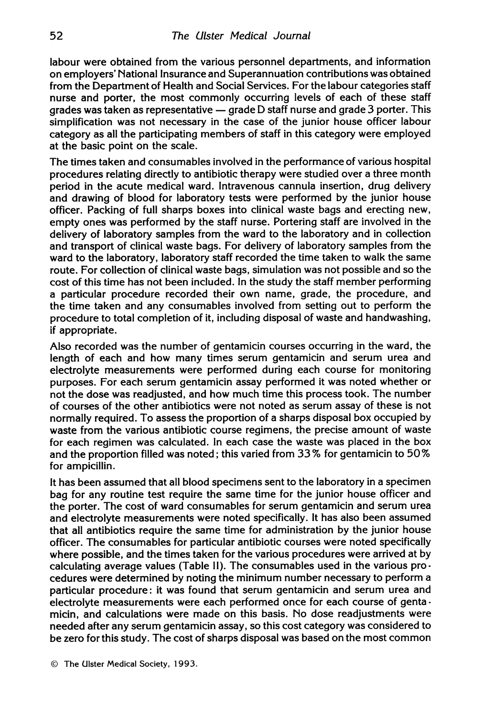labour were obtained from the various personnel departments, and information on employers' National Insurance and Superannuation contributions was obtained from the Department of Health and Social Services. For the labour categories staff nurse and porter, the most commonly occurring levels of each of these staff grades was taken as representative  $-$  grade D staff nurse and grade 3 porter. This simplification was not necessary in the case of the junior house officer labour category as all the participating members of staff in this category were employed at the basic point on the scale.

The times taken and consumables involved in the performance of various hospital procedures relating directly to antibiotic therapy were studied over <sup>a</sup> three month period in the acute medical ward. Intravenous cannula insertion, drug delivery and drawing of blood for laboratory tests were performed by the junior house officer. Packing of full sharps boxes into clinical waste bags and erecting new, empty ones was performed by the staff nurse. Portering staff are involved in the delivery of laboratory samples from the ward to the laboratory and in collection and transport of clinical waste bags. For delivery of laboratory samples from the ward to the laboratory, laboratory staff recorded the time taken to walk the same route. For collection of clinical waste bags, simulation was not possible and so the cost of this time has not been included. In the study the staff member performing a particular procedure recorded their own name, grade, the procedure, and the time taken and any consumables involved from setting out to perform the procedure to total completion of it, including disposal of waste and handwashing, if appropriate.

Also recorded was the number of gentamicin courses occurring in the ward, the length of each and how many times serum gentamicin and serum urea and electrolyte measurements were performed during each course for monitoring purposes. For each serum gentamicin assay performed it was noted whether or not the dose was readjusted, and how much time this process took. The number of courses of the other antibiotics were not noted as serum assay of these is not normally required. To assess the proportion of a sharps disposal box occupied by waste from the various antibiotic course regimens, the precise amount of waste for each regimen was calculated. In each case the waste was placed in the box and the proportion filled was noted; this varied from 33% for gentamicin to 50% for ampicillin.

It has been assumed that all blood specimens sent to the laboratory in a specimen bag for any routine test require the same time for the junior house officer and the porter. The cost of ward consumables for serum gentamicin and serum urea and electrolyte measurements were noted specifically. It has also been assumed that all antibiotics require the same time for administration by the junior house officer. The consumables for particular antibiotic courses were noted specifically where possible, and the times taken for the various procedures were arrived at by calculating average values (Table II). The consumables used in the various procedures were determined by noting the minimum number necessary to perform a particular procedure: it was found that serum gentamicin and serum urea and electrolyte measurements were each performed once for each course of gentamicin, and calculations were made on this basis. No dose readjustments were needed after any serum gentamicin assay, so this cost category was considered to be zero for this study. The cost of sharps disposal was based on the most common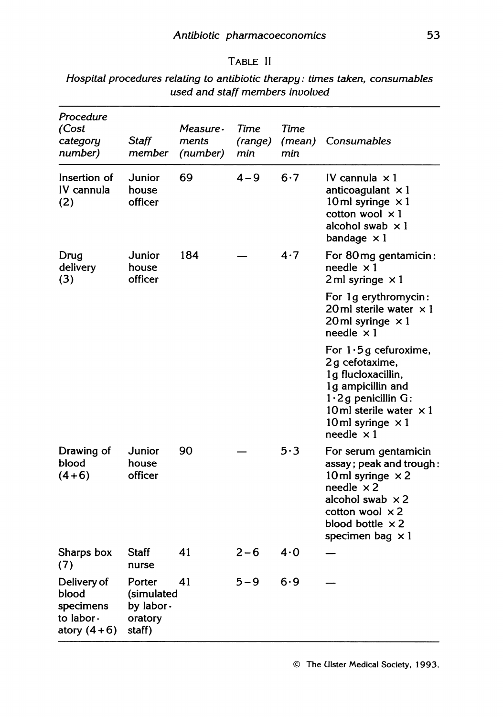| ABLE |  |
|------|--|
|------|--|

| Procedure<br>(Cost<br>category<br>number)                        | <b>Staff</b><br>member                                 | Measure -<br>ments<br>(number) | Time<br>(range)<br>min | Time<br>(mean)<br>min | Consumables                                                                                                                                                                                                |
|------------------------------------------------------------------|--------------------------------------------------------|--------------------------------|------------------------|-----------------------|------------------------------------------------------------------------------------------------------------------------------------------------------------------------------------------------------------|
| Insertion of<br>IV cannula<br>(2)                                | Junior<br>house<br>officer                             | 69                             | $4 - 9$                | 6.7                   | IV cannula $\times 1$<br>anticoagulant $\times 1$<br>10 ml syringe $\times$ 1<br>cotton wool $\times 1$<br>alcohol swab $\times 1$<br>bandage $\times 1$                                                   |
| Drug<br>delivery<br>(3)                                          | Junior<br>house<br>officer                             | 184                            |                        | 4.7                   | For 80mg gentamicin:<br>needle $\times$ 1<br>2 ml syringe $\times$ 1                                                                                                                                       |
|                                                                  |                                                        |                                |                        |                       | For 1g erythromycin:<br>20 ml sterile water $\times 1$<br>20ml syringe $\times 1$<br>needle $\times 1$                                                                                                     |
|                                                                  |                                                        |                                |                        |                       | For $1.5g$ cefuroxime,<br>2g cefotaxime,<br>1g flucloxacillin,<br>1g ampicillin and<br>$1.2$ g penicillin G:<br>10ml sterile water $\times$ 1<br>10 ml syringe $\times$ 1<br>needle $\times 1$             |
| Drawing of<br>blood<br>$(4+6)$                                   | Junior<br>house<br>officer                             | 90                             |                        | 5.3                   | For serum gentamicin<br>assay; peak and trough:<br>10ml syringe $\times$ 2<br>needle $\times 2$<br>alcohol swab $\times 2$<br>cotton wool $\times 2$<br>blood bottle $\times 2$<br>specimen bag $\times 1$ |
| Sharps box<br>(7)                                                | <b>Staff</b><br>nurse                                  | 41                             | $2 - 6$                | 4.0                   |                                                                                                                                                                                                            |
| Delivery of<br>blood<br>specimens<br>to labor -<br>atory $(4+6)$ | Porter<br>(simulated<br>by labor.<br>oratory<br>staff) | 41                             | $5 - 9$                | 6.9                   |                                                                                                                                                                                                            |

Hospital procedures relating to antibiotic therapy: times taken, consumables used and staff members involved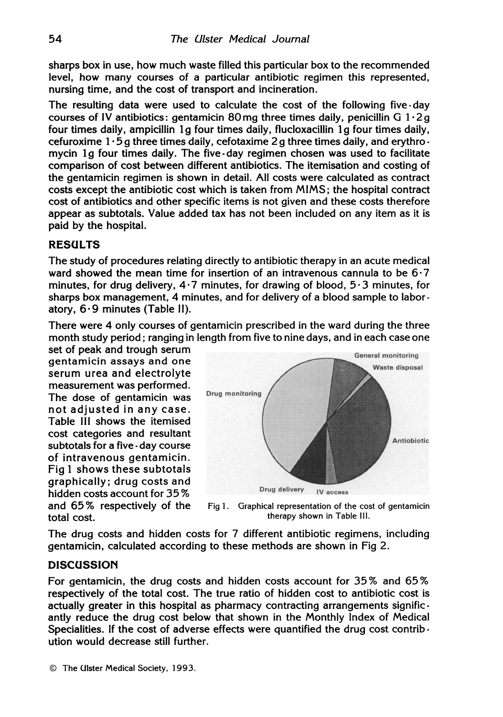sharps box in use, how much waste filled this particular box to the recommended level, how many courses of a particular antibiotic regimen this represented, nursing time, and the cost of transport and incineration.

The resulting data were used to calculate the cost of the following five - day courses of IV antibiotics: gentamicin 80 mg three times daily, penicillin G  $1.2 g$ four times daily, ampicillin <sup>1</sup> g four times daily, flucloxacillin 1g four times daily, cefuroxime  $1.5a$  three times daily, cefotaxime 2 g three times daily, and erythromycin <sup>1</sup> g four times daily. The five-day regimen chosen was used to facilitate comparison of cost between different antibiotics. The itemisation and costing of the gentamicin regimen is shown in detail. All costs were calculated as contract costs except the antibiotic cost which is taken from MIMS; the hospital contract cost of antibiotics and other specific items is not given and these costs therefore appear as subtotals. Value added tax has not been included on any item as it is paid by the hospital.

### RESULTS

The study of procedures relating directly to antibiotic therapy in an acute medical ward showed the mean time for insertion of an intravenous cannula to be 6-7 minutes, for drug delivery,  $4.7$  minutes, for drawing of blood,  $5.3$  minutes, for sharps box management, 4 minutes, and for delivery of a blood sample to labor atory, 6-9 minutes (Table II).

There were 4 only courses of gentamicin prescribed in the ward during the three month study period; ranqing in lenqth from five to nine days, and in each case one

set of peak and trough serum gentamicin assays and one serum urea and electrolyte measurement was performed. The dose of gentamicin was not adjusted in any case. Table Ill shows the itemised cost categories and resultant subtotals for a five - day course of intravenous gentamicin. Fig <sup>1</sup> shows these subtotals graphically; drug costs and hidden costs account for 35 % and 65% respectively of the total cost.



Fig 1. Graphical representation of the cost of gentamicin therapy shown in Table Ill.

The drug costs and hidden costs for 7 different antibiotic regimens, including gentamicin, calculated according to these methods are shown in Fig 2.

#### **DISCUSSION**

For gentamicin, the drug costs and hidden costs account for 35% and 65% respectively of the total cost. The true ratio of hidden cost to antibiotic cost is actually greater in this hospital as pharmacy contracting arrangements significantly reduce the drug cost below that shown in the Monthly Index of Medical Specialities. If the cost of adverse effects were quantified the drug cost contribution would decrease still further.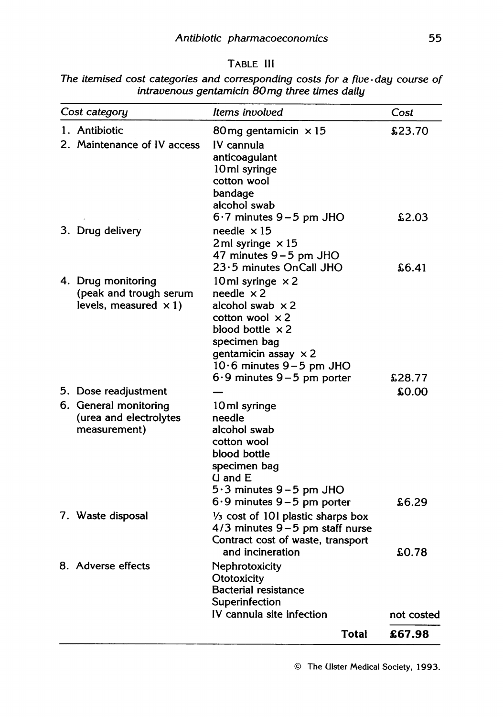|                                                |  | The itemised cost categories and corresponding costs for a five-day course of |  |  |  |  |  |  |  |
|------------------------------------------------|--|-------------------------------------------------------------------------------|--|--|--|--|--|--|--|
| intravenous gentamicin 80 mg three times daily |  |                                                                               |  |  |  |  |  |  |  |

| Cost category         |                              | Items involved                               | Cost       |
|-----------------------|------------------------------|----------------------------------------------|------------|
| 1. Antibiotic         |                              | 80 mg gentamicin $\times$ 15                 | £23.70     |
|                       | 2. Maintenance of IV access  | IV cannula                                   |            |
|                       |                              | anticoagulant                                |            |
|                       |                              | 10ml syringe                                 |            |
|                       |                              | cotton wool                                  |            |
|                       |                              | bandage                                      |            |
|                       |                              | alcohol swab                                 |            |
|                       |                              | $6.7$ minutes $9-5$ pm JHO                   | £2.03      |
| 3. Drug delivery      |                              | needle $\times$ 15                           |            |
|                       |                              | 2 ml syringe $\times 15$                     |            |
|                       |                              | 47 minutes $9-5$ pm JHO                      |            |
|                       |                              | 23.5 minutes OnCall JHO                      | \$6.41     |
| 4. Drug monitoring    |                              | 10 ml syringe $\times$ 2                     |            |
|                       | (peak and trough serum       | needle $\times 2$                            |            |
|                       | levels, measured $\times$ 1) | alcohol swab $\times 2$                      |            |
|                       |                              | cotton wool $\times$ 2                       |            |
|                       |                              | blood bottle $\times 2$                      |            |
|                       |                              | specimen bag                                 |            |
|                       |                              | gentamicin assay $\times 2$                  |            |
|                       |                              | $10.6$ minutes $9-5$ pm JHO                  |            |
|                       |                              | $6.9$ minutes $9-5$ pm porter                | £28.77     |
| 5. Dose readjustment  |                              |                                              | £0.00      |
| 6. General monitoring |                              | 10ml syringe                                 |            |
|                       | (urea and electrolytes       | needle                                       |            |
| measurement)          |                              | alcohol swab                                 |            |
|                       |                              | cotton wool                                  |            |
|                       |                              | blood bottle                                 |            |
|                       |                              | specimen bag                                 |            |
|                       |                              | $U$ and $E$                                  |            |
|                       |                              | $5.3$ minutes $9-5$ pm JHO                   |            |
|                       |                              | $6.9$ minutes $9-5$ pm porter                | \$6.29     |
| 7. Waste disposal     |                              | $\frac{1}{3}$ cost of 101 plastic sharps box |            |
|                       |                              | 4/3 minutes 9-5 pm staff nurse               |            |
|                       |                              | Contract cost of waste, transport            |            |
|                       |                              | and incineration                             | \$0.78     |
| 8. Adverse effects    |                              | Nephrotoxicity                               |            |
|                       |                              | Ototoxicity                                  |            |
|                       |                              | <b>Bacterial resistance</b>                  |            |
|                       |                              | Superinfection                               |            |
|                       |                              | IV cannula site infection                    | not costed |
|                       |                              | Total                                        | £67.98     |

The Ulster Medical Society, 1993.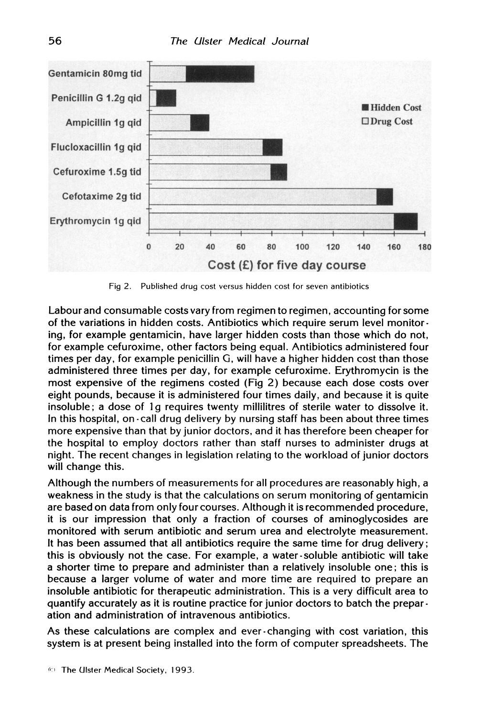

Fig 2. Published drug cost versus hidden cost for seven antibiotics

Labour and consumable costs vary from regimen to regimen, accounting for some of the variations in hidden costs. Antibiotics which require serum level monitor ing, for example gentamicin, have larger hidden costs than those which do not, for example cefuroxime, other factors being equal. Antibiotics administered four times per day, for example penicillin G, will have a higher hidden cost than those administered three times per day, for example cefuroxime. Erythromycin is the most expensive of the regimens costed (Fig 2) because each dose costs over eight pounds, because it is administered four times daily, and because it is quite insoluble; a dose of 1g requires twenty millilitres of sterile water to dissolve it. In this hospital, on -call drug delivery by nursing staff has been about three times more expensive than that by junior doctors, and it has therefore been cheaper for the hospital to employ doctors rather than staff nurses to administer drugs at night. The recent changes in legislation relating to the workload of junior doctors will change this.

Although the numbers of measurements for all procedures are reasonably high, a weakness in the study is that the calculations on serum monitoring of gentamicin are based on data from only four courses. Although it is recommended procedure, it is our impression that only a fraction of courses of aminoglycosides are monitored with serum antibiotic and serum urea and electrolyte measurement. It has been assumed that all antibiotics require the same time for drug delivery; this is obviously not the case. For example, a water-soluble antibiotic will take a shorter time to prepare and administer than a relatively insoluble one; this is because a larger volume of water and more time are required to prepare an insoluble antibiotic for therapeutic administration. This is a very difficult area to quantify accurately as it is routine practice for junior doctors to batch the prepar ation and administration of intravenous antibiotics.

As these calculations are complex and ever-changing with cost variation, this system is at present being installed into the form of computer spreadsheets. The